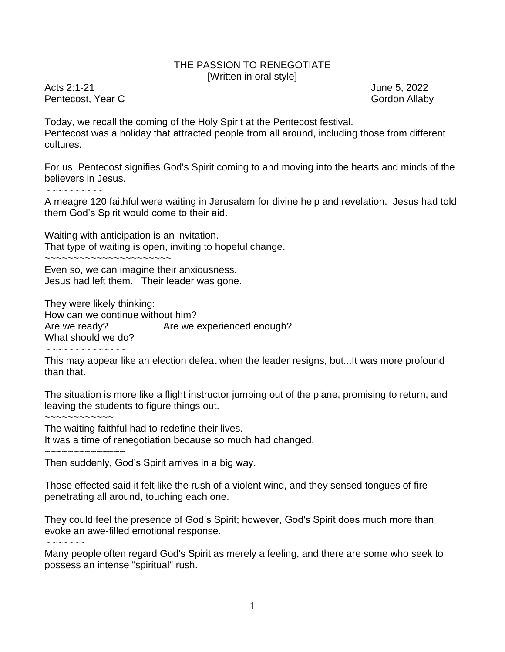## THE PASSION TO RENEGOTIATE [Written in oral style]

Acts 2:1-21 **June 5, 2022** Pentecost, Year C Gordon Allaby

Today, we recall the coming of the Holy Spirit at the Pentecost festival. Pentecost was a holiday that attracted people from all around, including those from different cultures.

For us, Pentecost signifies God's Spirit coming to and moving into the hearts and minds of the believers in Jesus.

~~~~~~~~~~

A meagre 120 faithful were waiting in Jerusalem for divine help and revelation. Jesus had told them God's Spirit would come to their aid.

Waiting with anticipation is an invitation. That type of waiting is open, inviting to hopeful change.

~~~~~~~~~~~~~~~~~~~~~~

Even so, we can imagine their anxiousness. Jesus had left them. Their leader was gone.

They were likely thinking: How can we continue without him? Are we ready? Are we experienced enough? What should we do? ~~~~~~~~~~~~~~

This may appear like an election defeat when the leader resigns, but...It was more profound than that.

The situation is more like a flight instructor jumping out of the plane, promising to return, and leaving the students to figure things out.

~~~~~~~~~~~~

The waiting faithful had to redefine their lives. It was a time of renegotiation because so much had changed.

~~~~~~~~~~~~

Then suddenly, God's Spirit arrives in a big way.

Those effected said it felt like the rush of a violent wind, and they sensed tongues of fire penetrating all around, touching each one.

They could feel the presence of God's Spirit; however, God's Spirit does much more than evoke an awe-filled emotional response.

 $\sim\sim\sim\sim\sim\sim$ 

Many people often regard God's Spirit as merely a feeling, and there are some who seek to possess an intense "spiritual" rush.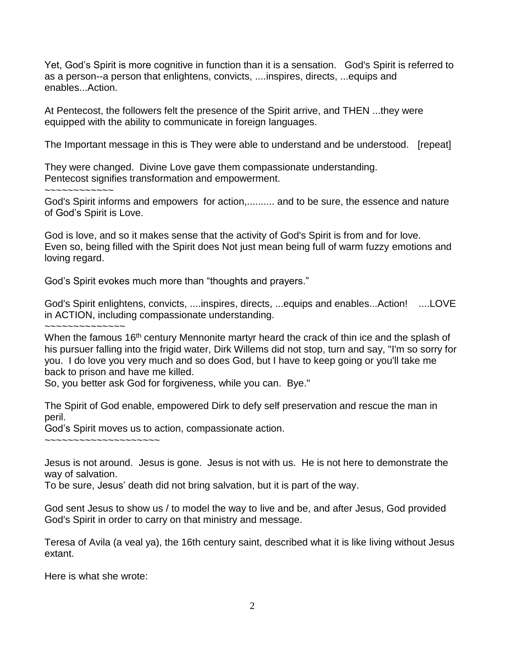Yet, God's Spirit is more cognitive in function than it is a sensation. God's Spirit is referred to as a person--a person that enlightens, convicts, ....inspires, directs, ...equips and enables...Action.

At Pentecost, the followers felt the presence of the Spirit arrive, and THEN ...they were equipped with the ability to communicate in foreign languages.

The Important message in this is They were able to understand and be understood. [repeat]

They were changed. Divine Love gave them compassionate understanding. Pentecost signifies transformation and empowerment.

~~~~~~~~~~~~

God's Spirit informs and empowers for action,.......... and to be sure, the essence and nature of God's Spirit is Love.

God is love, and so it makes sense that the activity of God's Spirit is from and for love. Even so, being filled with the Spirit does Not just mean being full of warm fuzzy emotions and loving regard.

God's Spirit evokes much more than "thoughts and prayers."

God's Spirit enlightens, convicts, ....inspires, directs, ...equips and enables...Action! ....LOVE in ACTION, including compassionate understanding.

~~~~~~~~~~~~~~

When the famous 16<sup>th</sup> century Mennonite martyr heard the crack of thin ice and the splash of his pursuer falling into the frigid water. Dirk Willems did not stop, turn and say, "I'm so sorry for you. I do love you very much and so does God, but I have to keep going or you'll take me back to prison and have me killed.

So, you better ask God for forgiveness, while you can. Bye."

The Spirit of God enable, empowered Dirk to defy self preservation and rescue the man in peril.

God's Spirit moves us to action, compassionate action.

~~~~~~~~~~~~~~~~~~~~

Jesus is not around. Jesus is gone. Jesus is not with us. He is not here to demonstrate the way of salvation.

To be sure, Jesus' death did not bring salvation, but it is part of the way.

God sent Jesus to show us / to model the way to live and be, and after Jesus, God provided God's Spirit in order to carry on that ministry and message.

Teresa of Avila (a veal ya), the 16th century saint, described what it is like living without Jesus extant.

Here is what she wrote: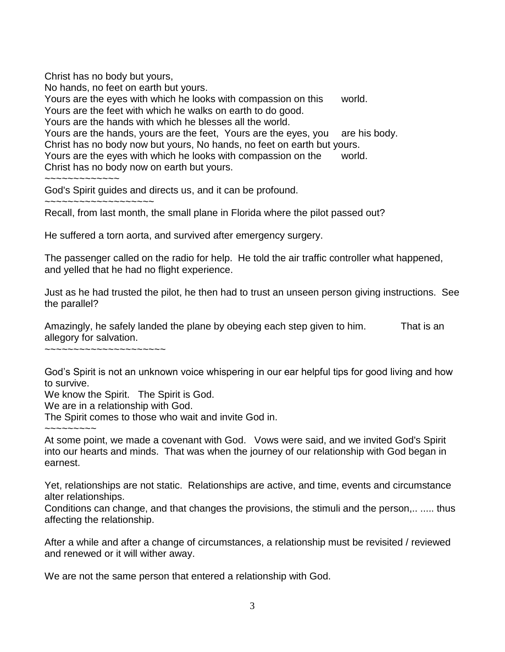Christ has no body but yours, No hands, no feet on earth but yours. Yours are the eyes with which he looks with compassion on this world. Yours are the feet with which he walks on earth to do good. Yours are the hands with which he blesses all the world. Yours are the hands, yours are the feet, Yours are the eyes, you are his body. Christ has no body now but yours, No hands, no feet on earth but yours. Yours are the eyes with which he looks with compassion on the world. Christ has no body now on earth but yours. ~~~~~~~~~~~~~

God's Spirit guides and directs us, and it can be profound.

~~~~~~~~~~~~~~~~~~~

Recall, from last month, the small plane in Florida where the pilot passed out?

He suffered a torn aorta, and survived after emergency surgery.

The passenger called on the radio for help. He told the air traffic controller what happened, and yelled that he had no flight experience.

Just as he had trusted the pilot, he then had to trust an unseen person giving instructions. See the parallel?

Amazingly, he safely landed the plane by obeying each step given to him. That is an allegory for salvation.

~~~~~~~~~~~~~~~~~~~~~

God's Spirit is not an unknown voice whispering in our ear helpful tips for good living and how to survive.

We know the Spirit. The Spirit is God.

We are in a relationship with God.

The Spirit comes to those who wait and invite God in.

 $\sim$   $\sim$   $\sim$   $\sim$   $\sim$   $\sim$   $\sim$ 

At some point, we made a covenant with God. Vows were said, and we invited God's Spirit into our hearts and minds. That was when the journey of our relationship with God began in earnest.

Yet, relationships are not static. Relationships are active, and time, events and circumstance alter relationships.

Conditions can change, and that changes the provisions, the stimuli and the person,.. ..... thus affecting the relationship.

After a while and after a change of circumstances, a relationship must be revisited / reviewed and renewed or it will wither away.

We are not the same person that entered a relationship with God.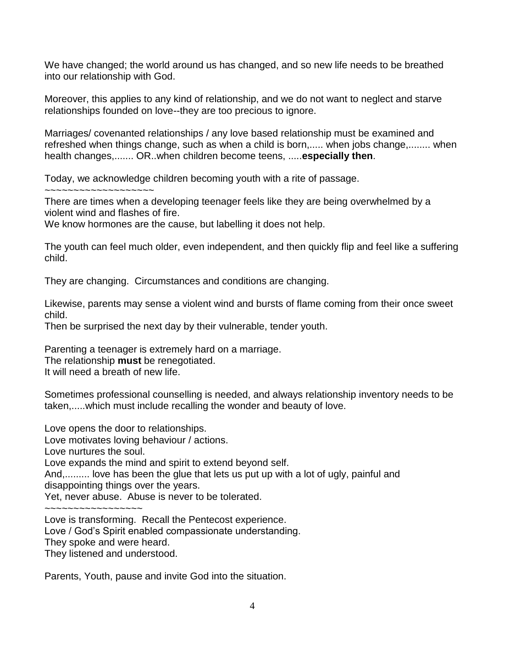We have changed; the world around us has changed, and so new life needs to be breathed into our relationship with God.

Moreover, this applies to any kind of relationship, and we do not want to neglect and starve relationships founded on love--they are too precious to ignore.

Marriages/ covenanted relationships / any love based relationship must be examined and refreshed when things change, such as when a child is born,..... when jobs change,........ when health changes,....... OR..when children become teens, .....**especially then**.

Today, we acknowledge children becoming youth with a rite of passage.

~~~~~~~~~~~~~~~~~~~

There are times when a developing teenager feels like they are being overwhelmed by a violent wind and flashes of fire.

We know hormones are the cause, but labelling it does not help.

The youth can feel much older, even independent, and then quickly flip and feel like a suffering child.

They are changing. Circumstances and conditions are changing.

Likewise, parents may sense a violent wind and bursts of flame coming from their once sweet child.

Then be surprised the next day by their vulnerable, tender youth.

Parenting a teenager is extremely hard on a marriage.

The relationship **must** be renegotiated.

It will need a breath of new life.

Sometimes professional counselling is needed, and always relationship inventory needs to be taken,.....which must include recalling the wonder and beauty of love.

Love opens the door to relationships.

Love motivates loving behaviour / actions.

Love nurtures the soul.

Love expands the mind and spirit to extend beyond self.

And,......... love has been the glue that lets us put up with a lot of ugly, painful and

disappointing things over the years.

Yet, never abuse. Abuse is never to be tolerated.

~~~~~~~~~~~~~~~~~

Love is transforming. Recall the Pentecost experience.

Love / God's Spirit enabled compassionate understanding.

They spoke and were heard.

They listened and understood.

Parents, Youth, pause and invite God into the situation.